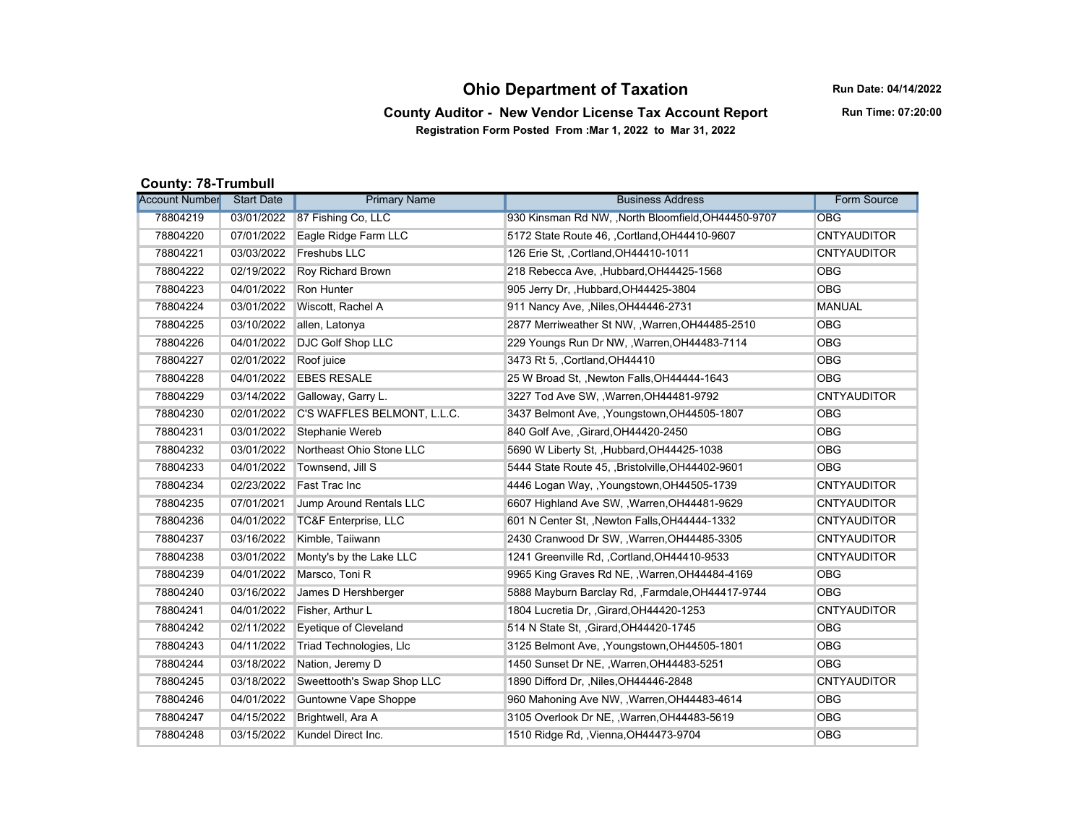## **Ohio Department of Taxation**

**Run Date: 04/14/2022**

## **County Auditor - New Vendor License Tax Account Report Registration Form Posted From :Mar 1, 2022 to Mar 31, 2022**

**Run Time: 07:20:00**

## **County: 78-Trumbull**

| <b>Account Number</b> | <b>Start Date</b> | <b>Primary Name</b>             | <b>Business Address</b>                             | Form Source        |
|-----------------------|-------------------|---------------------------------|-----------------------------------------------------|--------------------|
| 78804219              |                   | 03/01/2022 87 Fishing Co, LLC   | 930 Kinsman Rd NW, , North Bloomfield, OH44450-9707 | <b>OBG</b>         |
| 78804220              | 07/01/2022        | Eagle Ridge Farm LLC            | 5172 State Route 46, , Cortland, OH44410-9607       | <b>CNTYAUDITOR</b> |
| 78804221              | 03/03/2022        | Freshubs LLC                    | 126 Erie St., Cortland, OH44410-1011                | <b>CNTYAUDITOR</b> |
| 78804222              | 02/19/2022        | Roy Richard Brown               | 218 Rebecca Ave, Hubbard, OH44425-1568              | <b>OBG</b>         |
| 78804223              | 04/01/2022        | Ron Hunter                      | 905 Jerry Dr., Hubbard, OH44425-3804                | <b>OBG</b>         |
| 78804224              | 03/01/2022        | Wiscott, Rachel A               | 911 Nancy Ave, , Niles, OH44446-2731                | <b>MANUAL</b>      |
| 78804225              | 03/10/2022        | allen, Latonya                  | 2877 Merriweather St NW, , Warren, OH44485-2510     | <b>OBG</b>         |
| 78804226              | 04/01/2022        | <b>DJC Golf Shop LLC</b>        | 229 Youngs Run Dr NW, , Warren, OH44483-7114        | <b>OBG</b>         |
| 78804227              | 02/01/2022        | Roof juice                      | 3473 Rt 5, Cortland OH44410                         | <b>OBG</b>         |
| 78804228              | 04/01/2022        | <b>EBES RESALE</b>              | 25 W Broad St., Newton Falls, OH44444-1643          | <b>OBG</b>         |
| 78804229              | 03/14/2022        | Galloway, Garry L.              | 3227 Tod Ave SW, , Warren, OH44481-9792             | <b>CNTYAUDITOR</b> |
| 78804230              | 02/01/2022        | C'S WAFFLES BELMONT, L.L.C.     | 3437 Belmont Ave, , Youngstown, OH44505-1807        | <b>OBG</b>         |
| 78804231              | 03/01/2022        | Stephanie Wereb                 | 840 Golf Ave, , Girard, OH44420-2450                | <b>OBG</b>         |
| 78804232              | 03/01/2022        | Northeast Ohio Stone LLC        | 5690 W Liberty St., Hubbard, OH44425-1038           | <b>OBG</b>         |
| 78804233              | 04/01/2022        | Townsend, Jill S                | 5444 State Route 45, Bristolville, OH44402-9601     | <b>OBG</b>         |
| 78804234              | 02/23/2022        | Fast Trac Inc                   | 4446 Logan Way, , Youngstown, OH44505-1739          | <b>CNTYAUDITOR</b> |
| 78804235              | 07/01/2021        | Jump Around Rentals LLC         | 6607 Highland Ave SW, , Warren, OH44481-9629        | <b>CNTYAUDITOR</b> |
| 78804236              | 04/01/2022        | <b>TC&amp;F Enterprise, LLC</b> | 601 N Center St, , Newton Falls, OH44444-1332       | <b>CNTYAUDITOR</b> |
| 78804237              | 03/16/2022        | Kimble, Taiiwann                | 2430 Cranwood Dr SW, , Warren, OH44485-3305         | <b>CNTYAUDITOR</b> |
| 78804238              | 03/01/2022        | Monty's by the Lake LLC         | 1241 Greenville Rd, , Cortland, OH44410-9533        | <b>CNTYAUDITOR</b> |
| 78804239              | 04/01/2022        | Marsco, Toni R                  | 9965 King Graves Rd NE, , Warren, OH44484-4169      | <b>OBG</b>         |
| 78804240              | 03/16/2022        | James D Hershberger             | 5888 Mayburn Barclay Rd, , Farmdale, OH44417-9744   | <b>OBG</b>         |
| 78804241              | 04/01/2022        | Fisher. Arthur L                | 1804 Lucretia Dr. , Girard, OH44420-1253            | <b>CNTYAUDITOR</b> |
| 78804242              | 02/11/2022        | Eyetique of Cleveland           | 514 N State St. , Girard, OH44420-1745              | <b>OBG</b>         |
| 78804243              | 04/11/2022        | Triad Technologies, Llc         | 3125 Belmont Ave, , Youngstown, OH44505-1801        | <b>OBG</b>         |
| 78804244              | 03/18/2022        | Nation, Jeremy D                | 1450 Sunset Dr NE, , Warren, OH44483-5251           | <b>OBG</b>         |
| 78804245              | 03/18/2022        | Sweettooth's Swap Shop LLC      | 1890 Difford Dr, , Niles, OH44446-2848              | <b>CNTYAUDITOR</b> |
| 78804246              | 04/01/2022        | Guntowne Vape Shoppe            | 960 Mahoning Ave NW, , Warren, OH44483-4614         | <b>OBG</b>         |
| 78804247              | 04/15/2022        | Brightwell, Ara A               | 3105 Overlook Dr NE, , Warren, OH44483-5619         | <b>OBG</b>         |
| 78804248              | 03/15/2022        | Kundel Direct Inc.              | 1510 Ridge Rd, , Vienna, OH44473-9704               | <b>OBG</b>         |